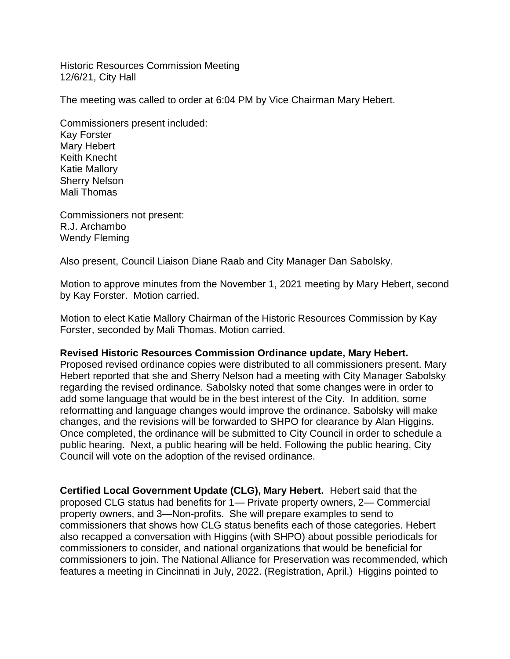Historic Resources Commission Meeting 12/6/21, City Hall

The meeting was called to order at 6:04 PM by Vice Chairman Mary Hebert.

Commissioners present included: Kay Forster Mary Hebert Keith Knecht Katie Mallory Sherry Nelson Mali Thomas

Commissioners not present: R.J. Archambo Wendy Fleming

Also present, Council Liaison Diane Raab and City Manager Dan Sabolsky.

Motion to approve minutes from the November 1, 2021 meeting by Mary Hebert, second by Kay Forster. Motion carried.

Motion to elect Katie Mallory Chairman of the Historic Resources Commission by Kay Forster, seconded by Mali Thomas. Motion carried.

## **Revised Historic Resources Commission Ordinance update, Mary Hebert.**

Proposed revised ordinance copies were distributed to all commissioners present. Mary Hebert reported that she and Sherry Nelson had a meeting with City Manager Sabolsky regarding the revised ordinance. Sabolsky noted that some changes were in order to add some language that would be in the best interest of the City. In addition, some reformatting and language changes would improve the ordinance. Sabolsky will make changes, and the revisions will be forwarded to SHPO for clearance by Alan Higgins. Once completed, the ordinance will be submitted to City Council in order to schedule a public hearing. Next, a public hearing will be held. Following the public hearing, City Council will vote on the adoption of the revised ordinance.

**Certified Local Government Update (CLG), Mary Hebert.** Hebert said that the proposed CLG status had benefits for 1— Private property owners, 2— Commercial property owners, and 3—Non-profits. She will prepare examples to send to commissioners that shows how CLG status benefits each of those categories. Hebert also recapped a conversation with Higgins (with SHPO) about possible periodicals for commissioners to consider, and national organizations that would be beneficial for commissioners to join. The National Alliance for Preservation was recommended, which features a meeting in Cincinnati in July, 2022. (Registration, April.) Higgins pointed to